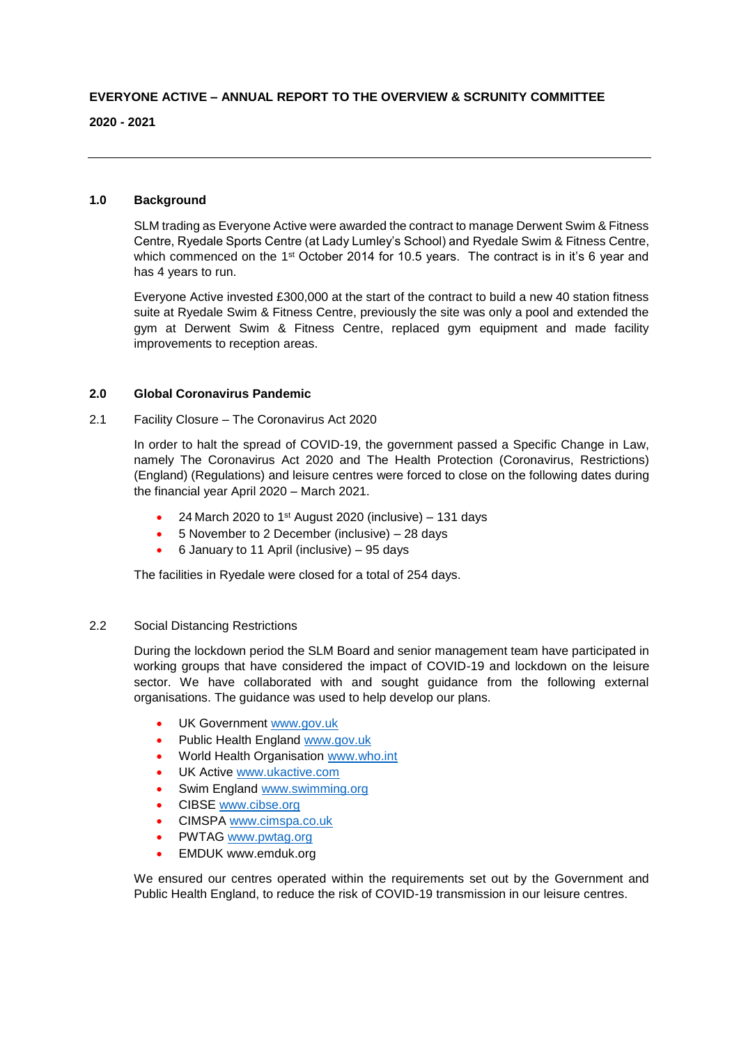# **EVERYONE ACTIVE – ANNUAL REPORT TO THE OVERVIEW & SCRUNITY COMMITTEE**

#### **2020 - 2021**

## **1.0 Background**

SLM trading as Everyone Active were awarded the contract to manage Derwent Swim & Fitness Centre, Ryedale Sports Centre (at Lady Lumley's School) and Ryedale Swim & Fitness Centre, which commenced on the 1<sup>st</sup> October 2014 for 10.5 years. The contract is in it's 6 year and has 4 years to run.

Everyone Active invested £300,000 at the start of the contract to build a new 40 station fitness suite at Ryedale Swim & Fitness Centre, previously the site was only a pool and extended the gym at Derwent Swim & Fitness Centre, replaced gym equipment and made facility improvements to reception areas.

#### **2.0 Global Coronavirus Pandemic**

### 2.1 Facility Closure – The Coronavirus Act 2020

In order to halt the spread of COVID-19, the government passed a Specific Change in Law, namely The Coronavirus Act 2020 and The Health Protection (Coronavirus, Restrictions) (England) (Regulations) and leisure centres were forced to close on the following dates during the financial year April 2020 – March 2021.

- $\bullet$  24 March 2020 to 1<sup>st</sup> August 2020 (inclusive) 131 days
- 5 November to 2 December (inclusive) 28 days
- 6 January to 11 April (inclusive) 95 days

The facilities in Ryedale were closed for a total of 254 days.

### 2.2 Social Distancing Restrictions

During the lockdown period the SLM Board and senior management team have participated in working groups that have considered the impact of COVID-19 and lockdown on the leisure sector. We have collaborated with and sought guidance from the following external organisations. The guidance was used to help develop our plans.

- UK Government [www.gov.uk](http://www.gov.uk/)
- Public Health England [www.gov.uk](http://www.gov.uk/)
- World Health Organisation [www.who.int](http://www.who.int/)
- UK Active [www.ukactive.com](http://www.ukactive.com/)
- Swim England [www.swimming.org](http://www.swimming.org/)
- CIBSE [www.cibse.org](http://www.cibse.org/)
- CIMSPA [www.cimspa.co.uk](http://www.cimspa.co.uk/)
- PWTAG [www.pwtag.org](http://www.pwtag.org/)
- EMDUK www.emduk.org

We ensured our centres operated within the requirements set out by the Government and Public Health England, to reduce the risk of COVID-19 transmission in our leisure centres.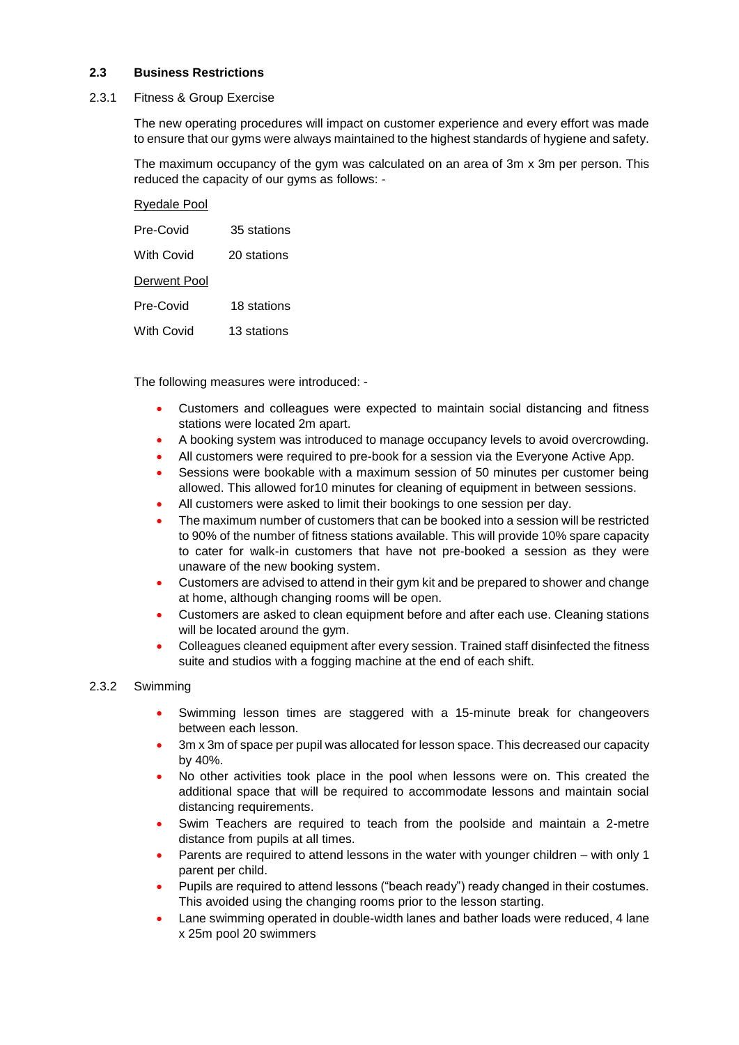### **2.3 Business Restrictions**

#### 2.3.1 Fitness & Group Exercise

The new operating procedures will impact on customer experience and every effort was made to ensure that our gyms were always maintained to the highest standards of hygiene and safety.

The maximum occupancy of the gym was calculated on an area of 3m x 3m per person. This reduced the capacity of our gyms as follows: -

| <b>Ryedale Pool</b> |             |
|---------------------|-------------|
| Pre-Covid           | 35 stations |
| With Covid          | 20 stations |
| Derwent Pool        |             |
| Pre-Covid           | 18 stations |
| With Covid          | 13 stations |

The following measures were introduced: -

- Customers and colleagues were expected to maintain social distancing and fitness stations were located 2m apart.
- A booking system was introduced to manage occupancy levels to avoid overcrowding.
- All customers were required to pre-book for a session via the Everyone Active App.
- Sessions were bookable with a maximum session of 50 minutes per customer being allowed. This allowed for10 minutes for cleaning of equipment in between sessions.
- All customers were asked to limit their bookings to one session per day.
- The maximum number of customers that can be booked into a session will be restricted to 90% of the number of fitness stations available. This will provide 10% spare capacity to cater for walk-in customers that have not pre-booked a session as they were unaware of the new booking system.
- Customers are advised to attend in their gym kit and be prepared to shower and change at home, although changing rooms will be open.
- Customers are asked to clean equipment before and after each use. Cleaning stations will be located around the gym.
- Colleagues cleaned equipment after every session. Trained staff disinfected the fitness suite and studios with a fogging machine at the end of each shift.

#### 2.3.2 Swimming

- Swimming lesson times are staggered with a 15-minute break for changeovers between each lesson.
- 3m x 3m of space per pupil was allocated for lesson space. This decreased our capacity by 40%.
- No other activities took place in the pool when lessons were on. This created the additional space that will be required to accommodate lessons and maintain social distancing requirements.
- Swim Teachers are required to teach from the poolside and maintain a 2-metre distance from pupils at all times.
- Parents are required to attend lessons in the water with younger children with only 1 parent per child.
- Pupils are required to attend lessons ("beach ready") ready changed in their costumes. This avoided using the changing rooms prior to the lesson starting.
- Lane swimming operated in double-width lanes and bather loads were reduced, 4 lane x 25m pool 20 swimmers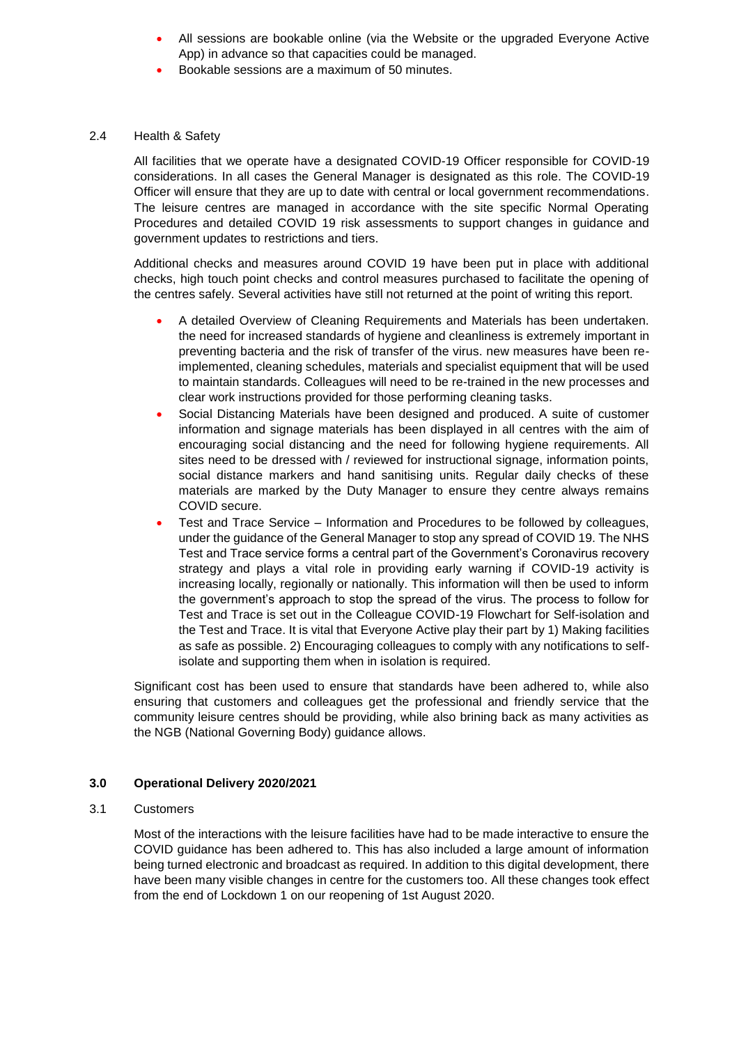- All sessions are bookable online (via the Website or the upgraded Everyone Active App) in advance so that capacities could be managed.
- Bookable sessions are a maximum of 50 minutes.

#### 2.4 Health & Safety

All facilities that we operate have a designated COVID-19 Officer responsible for COVID-19 considerations. In all cases the General Manager is designated as this role. The COVID-19 Officer will ensure that they are up to date with central or local government recommendations. The leisure centres are managed in accordance with the site specific Normal Operating Procedures and detailed COVID 19 risk assessments to support changes in guidance and government updates to restrictions and tiers.

Additional checks and measures around COVID 19 have been put in place with additional checks, high touch point checks and control measures purchased to facilitate the opening of the centres safely. Several activities have still not returned at the point of writing this report.

- A detailed Overview of Cleaning Requirements and Materials has been undertaken. the need for increased standards of hygiene and cleanliness is extremely important in preventing bacteria and the risk of transfer of the virus. new measures have been reimplemented, cleaning schedules, materials and specialist equipment that will be used to maintain standards. Colleagues will need to be re-trained in the new processes and clear work instructions provided for those performing cleaning tasks.
- Social Distancing Materials have been designed and produced. A suite of customer information and signage materials has been displayed in all centres with the aim of encouraging social distancing and the need for following hygiene requirements. All sites need to be dressed with / reviewed for instructional signage, information points, social distance markers and hand sanitising units. Regular daily checks of these materials are marked by the Duty Manager to ensure they centre always remains COVID secure.
- Test and Trace Service Information and Procedures to be followed by colleagues, under the guidance of the General Manager to stop any spread of COVID 19. The NHS Test and Trace service forms a central part of the Government's Coronavirus recovery strategy and plays a vital role in providing early warning if COVID-19 activity is increasing locally, regionally or nationally. This information will then be used to inform the government's approach to stop the spread of the virus. The process to follow for Test and Trace is set out in the Colleague COVID-19 Flowchart for Self-isolation and the Test and Trace. It is vital that Everyone Active play their part by 1) Making facilities as safe as possible. 2) Encouraging colleagues to comply with any notifications to selfisolate and supporting them when in isolation is required.

Significant cost has been used to ensure that standards have been adhered to, while also ensuring that customers and colleagues get the professional and friendly service that the community leisure centres should be providing, while also brining back as many activities as the NGB (National Governing Body) guidance allows.

## **3.0 Operational Delivery 2020/2021**

## 3.1 Customers

Most of the interactions with the leisure facilities have had to be made interactive to ensure the COVID guidance has been adhered to. This has also included a large amount of information being turned electronic and broadcast as required. In addition to this digital development, there have been many visible changes in centre for the customers too. All these changes took effect from the end of Lockdown 1 on our reopening of 1st August 2020.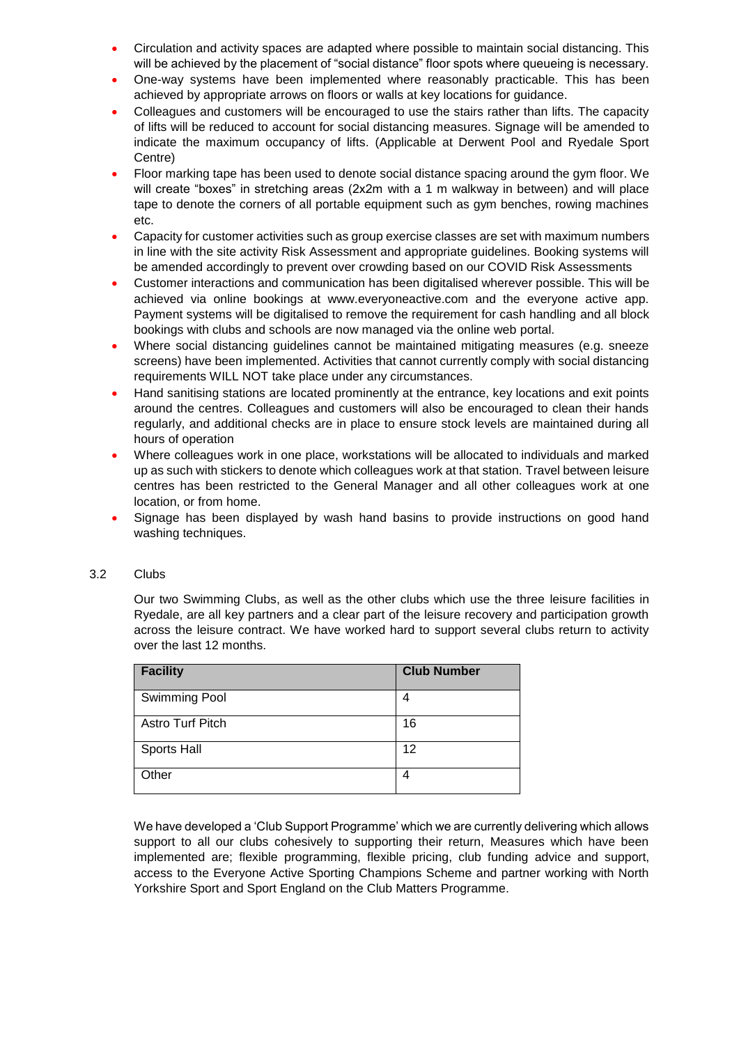- Circulation and activity spaces are adapted where possible to maintain social distancing. This will be achieved by the placement of "social distance" floor spots where queueing is necessary.
- One-way systems have been implemented where reasonably practicable. This has been achieved by appropriate arrows on floors or walls at key locations for guidance.
- Colleagues and customers will be encouraged to use the stairs rather than lifts. The capacity of lifts will be reduced to account for social distancing measures. Signage will be amended to indicate the maximum occupancy of lifts. (Applicable at Derwent Pool and Ryedale Sport Centre)
- Floor marking tape has been used to denote social distance spacing around the gym floor. We will create "boxes" in stretching areas (2x2m with a 1 m walkway in between) and will place tape to denote the corners of all portable equipment such as gym benches, rowing machines etc.
- Capacity for customer activities such as group exercise classes are set with maximum numbers in line with the site activity Risk Assessment and appropriate guidelines. Booking systems will be amended accordingly to prevent over crowding based on our COVID Risk Assessments
- Customer interactions and communication has been digitalised wherever possible. This will be achieved via online bookings at www.everyoneactive.com and the everyone active app. Payment systems will be digitalised to remove the requirement for cash handling and all block bookings with clubs and schools are now managed via the online web portal.
- Where social distancing guidelines cannot be maintained mitigating measures (e.g. sneeze screens) have been implemented. Activities that cannot currently comply with social distancing requirements WILL NOT take place under any circumstances.
- Hand sanitising stations are located prominently at the entrance, key locations and exit points around the centres. Colleagues and customers will also be encouraged to clean their hands regularly, and additional checks are in place to ensure stock levels are maintained during all hours of operation
- Where colleagues work in one place, workstations will be allocated to individuals and marked up as such with stickers to denote which colleagues work at that station. Travel between leisure centres has been restricted to the General Manager and all other colleagues work at one location, or from home.
- Signage has been displayed by wash hand basins to provide instructions on good hand washing techniques.

## 3.2 Clubs

Our two Swimming Clubs, as well as the other clubs which use the three leisure facilities in Ryedale, are all key partners and a clear part of the leisure recovery and participation growth across the leisure contract. We have worked hard to support several clubs return to activity over the last 12 months.

| <b>Facility</b>         | <b>Club Number</b> |
|-------------------------|--------------------|
| <b>Swimming Pool</b>    | 4                  |
| <b>Astro Turf Pitch</b> | 16                 |
| <b>Sports Hall</b>      | 12                 |
| Other                   | 4                  |

We have developed a 'Club Support Programme' which we are currently delivering which allows support to all our clubs cohesively to supporting their return, Measures which have been implemented are; flexible programming, flexible pricing, club funding advice and support, access to the Everyone Active Sporting Champions Scheme and partner working with North Yorkshire Sport and Sport England on the Club Matters Programme.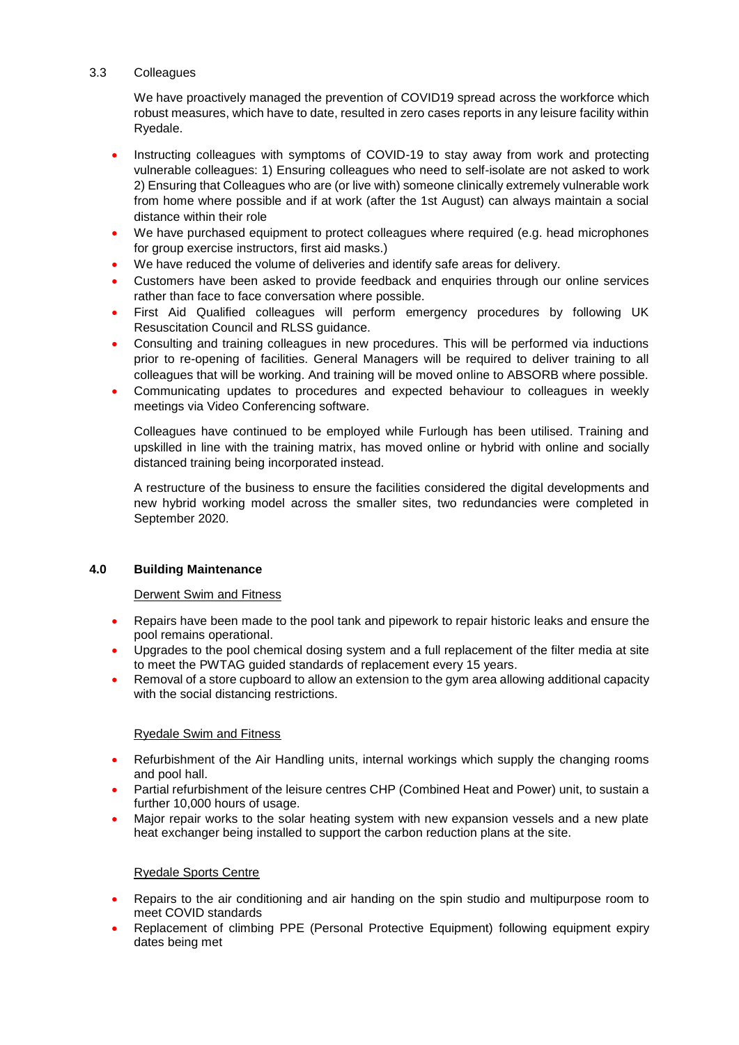## 3.3 Colleagues

We have proactively managed the prevention of COVID19 spread across the workforce which robust measures, which have to date, resulted in zero cases reports in any leisure facility within Ryedale.

- Instructing colleagues with symptoms of COVID-19 to stay away from work and protecting vulnerable colleagues: 1) Ensuring colleagues who need to self-isolate are not asked to work 2) Ensuring that Colleagues who are (or live with) someone clinically extremely vulnerable work from home where possible and if at work (after the 1st August) can always maintain a social distance within their role
- We have purchased equipment to protect colleagues where required (e.g. head microphones for group exercise instructors, first aid masks.)
- We have reduced the volume of deliveries and identify safe areas for delivery.
- Customers have been asked to provide feedback and enquiries through our online services rather than face to face conversation where possible.
- First Aid Qualified colleagues will perform emergency procedures by following UK Resuscitation Council and RLSS guidance.
- Consulting and training colleagues in new procedures. This will be performed via inductions prior to re-opening of facilities. General Managers will be required to deliver training to all colleagues that will be working. And training will be moved online to ABSORB where possible.
- Communicating updates to procedures and expected behaviour to colleagues in weekly meetings via Video Conferencing software.

Colleagues have continued to be employed while Furlough has been utilised. Training and upskilled in line with the training matrix, has moved online or hybrid with online and socially distanced training being incorporated instead.

A restructure of the business to ensure the facilities considered the digital developments and new hybrid working model across the smaller sites, two redundancies were completed in September 2020.

## **4.0 Building Maintenance**

## Derwent Swim and Fitness

- Repairs have been made to the pool tank and pipework to repair historic leaks and ensure the pool remains operational.
- Upgrades to the pool chemical dosing system and a full replacement of the filter media at site to meet the PWTAG guided standards of replacement every 15 years.
- Removal of a store cupboard to allow an extension to the gym area allowing additional capacity with the social distancing restrictions.

## Ryedale Swim and Fitness

- Refurbishment of the Air Handling units, internal workings which supply the changing rooms and pool hall.
- Partial refurbishment of the leisure centres CHP (Combined Heat and Power) unit, to sustain a further 10,000 hours of usage.
- Major repair works to the solar heating system with new expansion vessels and a new plate heat exchanger being installed to support the carbon reduction plans at the site.

#### Ryedale Sports Centre

- Repairs to the air conditioning and air handing on the spin studio and multipurpose room to meet COVID standards
- Replacement of climbing PPE (Personal Protective Equipment) following equipment expiry dates being met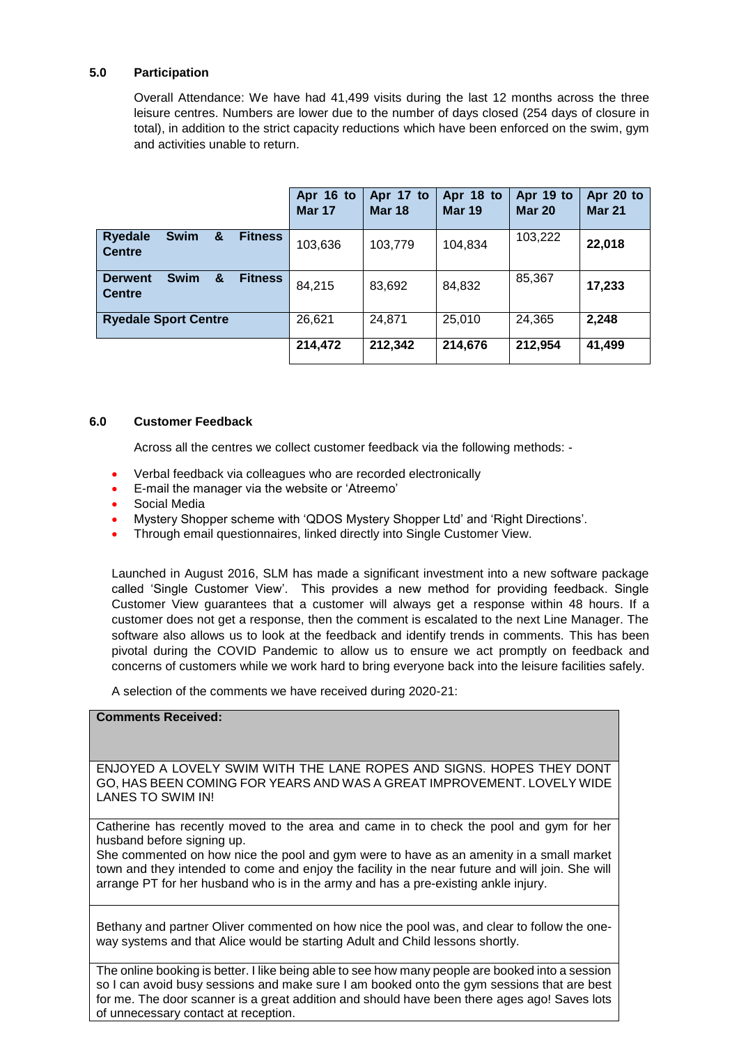### **5.0 Participation**

Overall Attendance: We have had 41,499 visits during the last 12 months across the three leisure centres. Numbers are lower due to the number of days closed (254 days of closure in total), in addition to the strict capacity reductions which have been enforced on the swim, gym and activities unable to return.

|                                                                       | Apr 16 to<br><b>Mar 17</b> | Apr 17 to<br><b>Mar 18</b> | Apr 18 to<br><b>Mar 19</b> | Apr 19 to<br><b>Mar 20</b> | Apr 20 to<br><b>Mar 21</b> |
|-----------------------------------------------------------------------|----------------------------|----------------------------|----------------------------|----------------------------|----------------------------|
| <b>Swim</b><br><b>Ryedale</b><br>&<br><b>Fitness</b><br><b>Centre</b> | 103,636                    | 103,779                    | 104,834                    | 103,222                    | 22,018                     |
| <b>Swim</b><br>&<br><b>Fitness</b><br><b>Derwent</b><br><b>Centre</b> | 84,215                     | 83,692                     | 84,832                     | 85,367                     | 17,233                     |
| <b>Ryedale Sport Centre</b>                                           | 26,621                     | 24,871                     | 25,010                     | 24,365                     | 2,248                      |
|                                                                       | 214,472                    | 212,342                    | 214,676                    | 212,954                    | 41,499                     |

#### **6.0 Customer Feedback**

Across all the centres we collect customer feedback via the following methods: -

- Verbal feedback via colleagues who are recorded electronically
- E-mail the manager via the website or 'Atreemo'
- Social Media
- Mystery Shopper scheme with 'QDOS Mystery Shopper Ltd' and 'Right Directions'.
- Through email questionnaires, linked directly into Single Customer View.

Launched in August 2016, SLM has made a significant investment into a new software package called 'Single Customer View'. This provides a new method for providing feedback. Single Customer View guarantees that a customer will always get a response within 48 hours. If a customer does not get a response, then the comment is escalated to the next Line Manager. The software also allows us to look at the feedback and identify trends in comments. This has been pivotal during the COVID Pandemic to allow us to ensure we act promptly on feedback and concerns of customers while we work hard to bring everyone back into the leisure facilities safely.

A selection of the comments we have received during 2020-21:

## **Comments Received:**

ENJOYED A LOVELY SWIM WITH THE LANE ROPES AND SIGNS. HOPES THEY DONT GO, HAS BEEN COMING FOR YEARS AND WAS A GREAT IMPROVEMENT. LOVELY WIDE LANES TO SWIM IN!

Catherine has recently moved to the area and came in to check the pool and gym for her husband before signing up.

She commented on how nice the pool and gym were to have as an amenity in a small market town and they intended to come and enjoy the facility in the near future and will join. She will arrange PT for her husband who is in the army and has a pre-existing ankle injury.

Bethany and partner Oliver commented on how nice the pool was, and clear to follow the oneway systems and that Alice would be starting Adult and Child lessons shortly.

The online booking is better. I like being able to see how many people are booked into a session so I can avoid busy sessions and make sure I am booked onto the gym sessions that are best for me. The door scanner is a great addition and should have been there ages ago! Saves lots of unnecessary contact at reception.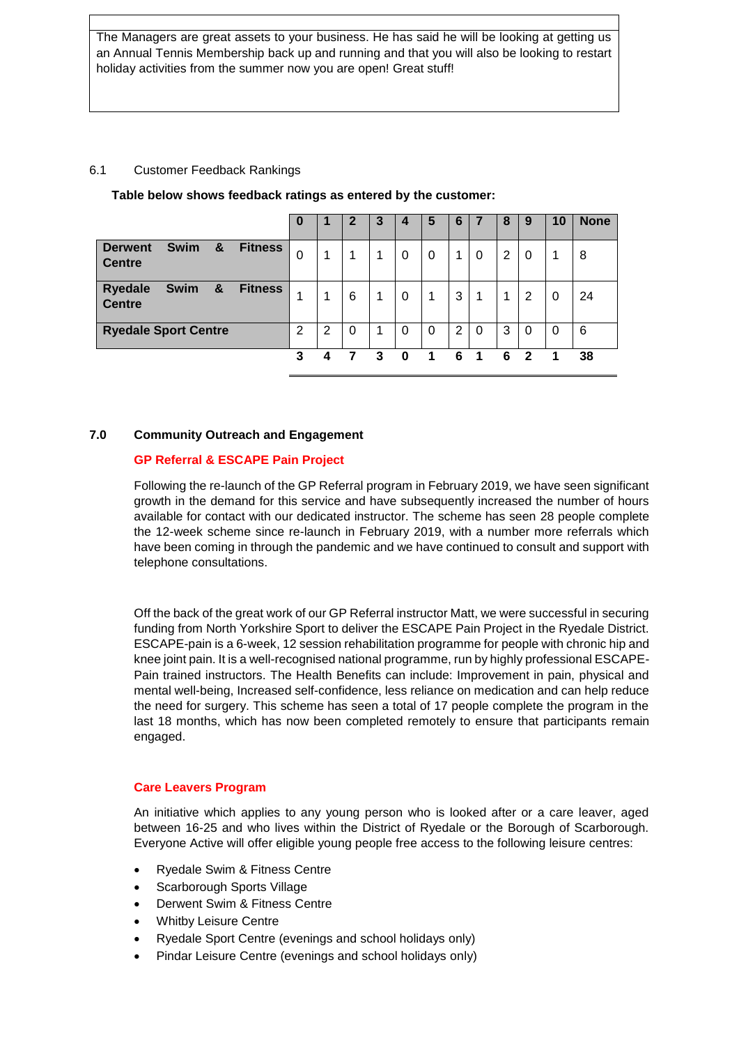The Managers are great assets to your business. He has said he will be looking at getting us an Annual Tennis Membership back up and running and that you will also be looking to restart holiday activities from the summer now you are open! Great stuff!

## 6.1 Customer Feedback Rankings

|                                                     |                | 0 |   | $\overline{2}$ | 3 | 4        | 5            | 6 |          | 8              | 9            | 10 | <b>None</b> |
|-----------------------------------------------------|----------------|---|---|----------------|---|----------|--------------|---|----------|----------------|--------------|----|-------------|
| <b>Derwent</b><br><b>Swim</b><br>&<br><b>Centre</b> | <b>Fitness</b> | 0 | 1 | 1              | 1 | 0        | 0            |   | 0        | $\overline{2}$ | $\Omega$     |    | 8           |
| <b>Ryedale</b><br><b>Swim</b><br>&<br><b>Centre</b> | <b>Fitness</b> | 1 | 1 | 6              | 1 | 0        | $\mathbf{1}$ | 3 | 1        | 1              | 2            | 0  | 24          |
| <b>Ryedale Sport Centre</b>                         |                | 2 | 2 | 0              | 1 | $\Omega$ | 0            | 2 | $\Omega$ | 3              | $\Omega$     | 0  | 6           |
|                                                     |                | 3 | 4 |                | 3 | 0        | 1            | 6 | 1        | 6              | $\mathbf{2}$ | 1  | 38          |

**Table below shows feedback ratings as entered by the customer:**

## **7.0 Community Outreach and Engagement**

# **GP Referral & ESCAPE Pain Project**

Following the re-launch of the GP Referral program in February 2019, we have seen significant growth in the demand for this service and have subsequently increased the number of hours available for contact with our dedicated instructor. The scheme has seen 28 people complete the 12-week scheme since re-launch in February 2019, with a number more referrals which have been coming in through the pandemic and we have continued to consult and support with telephone consultations.

Off the back of the great work of our GP Referral instructor Matt, we were successful in securing funding from North Yorkshire Sport to deliver the ESCAPE Pain Project in the Ryedale District. ESCAPE-pain is a 6-week, 12 session rehabilitation programme for people with chronic hip and knee joint pain. It is a well-recognised national programme, run by highly professional ESCAPE-Pain trained instructors. The Health Benefits can include: Improvement in pain, physical and mental well-being, Increased self-confidence, less reliance on medication and can help reduce the need for surgery. This scheme has seen a total of 17 people complete the program in the last 18 months, which has now been completed remotely to ensure that participants remain engaged.

# **Care Leavers Program**

An initiative which applies to any young person who is looked after or a care leaver, aged between 16-25 and who lives within the District of Ryedale or the Borough of Scarborough. Everyone Active will offer eligible young people free access to the following leisure centres:

- Ryedale Swim & Fitness Centre
- Scarborough Sports Village
- Derwent Swim & Fitness Centre
- Whitby Leisure Centre
- Ryedale Sport Centre (evenings and school holidays only)
- Pindar Leisure Centre (evenings and school holidays only)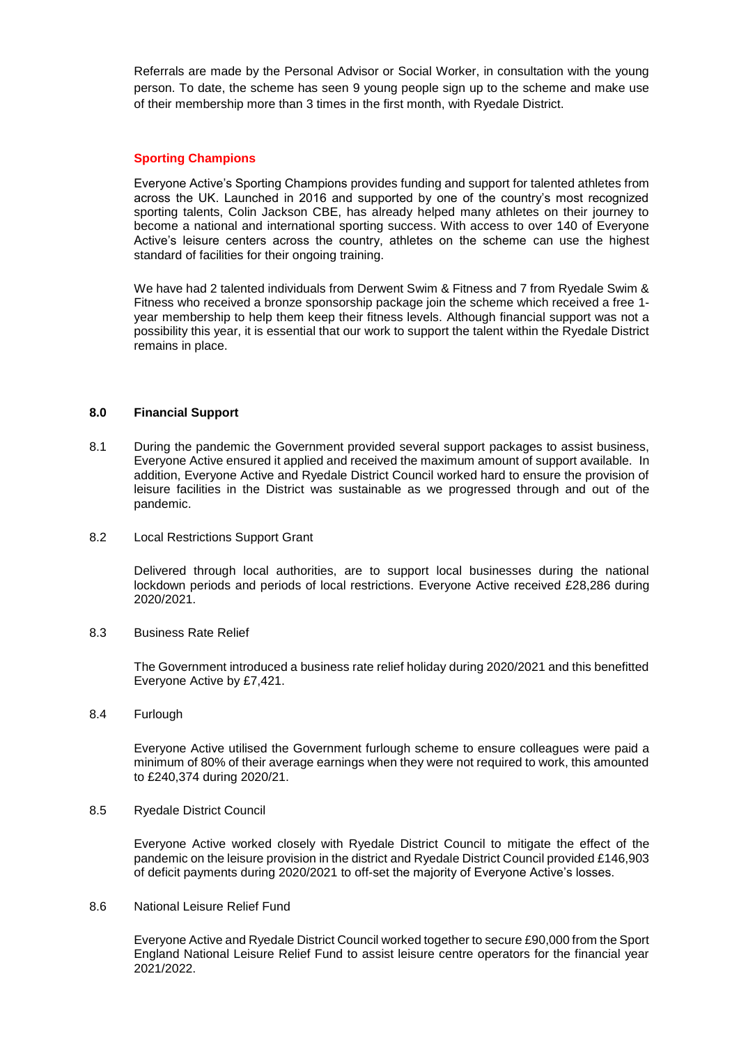Referrals are made by the Personal Advisor or Social Worker, in consultation with the young person. To date, the scheme has seen 9 young people sign up to the scheme and make use of their membership more than 3 times in the first month, with Ryedale District.

#### **Sporting Champions**

Everyone Active's Sporting Champions provides funding and support for talented athletes from across the UK. Launched in 2016 and supported by one of the country's most recognized sporting talents, Colin Jackson CBE, has already helped many athletes on their journey to become a national and international sporting success. With access to over 140 of Everyone Active's leisure centers across the country, athletes on the scheme can use the highest standard of facilities for their ongoing training.

We have had 2 talented individuals from Derwent Swim & Fitness and 7 from Ryedale Swim & Fitness who received a bronze sponsorship package join the scheme which received a free 1 year membership to help them keep their fitness levels. Although financial support was not a possibility this year, it is essential that our work to support the talent within the Ryedale District remains in place.

#### **8.0 Financial Support**

- 8.1 During the pandemic the Government provided several support packages to assist business, Everyone Active ensured it applied and received the maximum amount of support available. In addition, Everyone Active and Ryedale District Council worked hard to ensure the provision of leisure facilities in the District was sustainable as we progressed through and out of the pandemic.
- 8.2 Local Restrictions Support Grant

Delivered through local authorities, are to support local businesses during the national lockdown periods and periods of local restrictions. Everyone Active received £28,286 during 2020/2021.

8.3 Business Rate Relief

The Government introduced a business rate relief holiday during 2020/2021 and this benefitted Everyone Active by £7,421.

8.4 Furlough

Everyone Active utilised the Government furlough scheme to ensure colleagues were paid a minimum of 80% of their average earnings when they were not required to work, this amounted to £240,374 during 2020/21.

8.5 Ryedale District Council

Everyone Active worked closely with Ryedale District Council to mitigate the effect of the pandemic on the leisure provision in the district and Ryedale District Council provided £146,903 of deficit payments during 2020/2021 to off-set the majority of Everyone Active's losses.

8.6 National Leisure Relief Fund

Everyone Active and Ryedale District Council worked together to secure £90,000 from the Sport England National Leisure Relief Fund to assist leisure centre operators for the financial year 2021/2022.